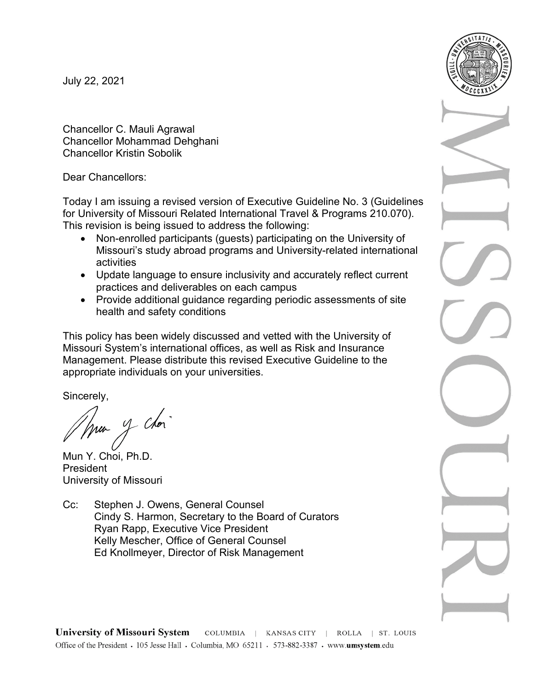July 22, 2021

Chancellor C. Mauli Agrawal Chancellor Mohammad Dehghani Chancellor Kristin Sobolik

Dear Chancellors:

Today I am issuing a revised version of Executive Guideline No. 3 (Guidelines for University of Missouri Related International Travel & Programs 210.070). This revision is being issued to address the following:

- Non-enrolled participants (guests) participating on the University of Missouri's study abroad programs and University-related international activities
- Update language to ensure inclusivity and accurately reflect current practices and deliverables on each campus
- Provide additional guidance regarding periodic assessments of site health and safety conditions

This policy has been widely discussed and vetted with the University of Missouri System's international offices, as well as Risk and Insurance Management. Please distribute this revised Executive Guideline to the appropriate individuals on your universities.

Sincerely,

y chor 'nu-

Mun Y. Choi, Ph.D. President University of Missouri

Cc: Stephen J. Owens, General Counsel Cindy S. Harmon, Secretary to the Board of Curators Ryan Rapp, Executive Vice President Kelly Mescher, Office of General Counsel Ed Knollmeyer, Director of Risk Management

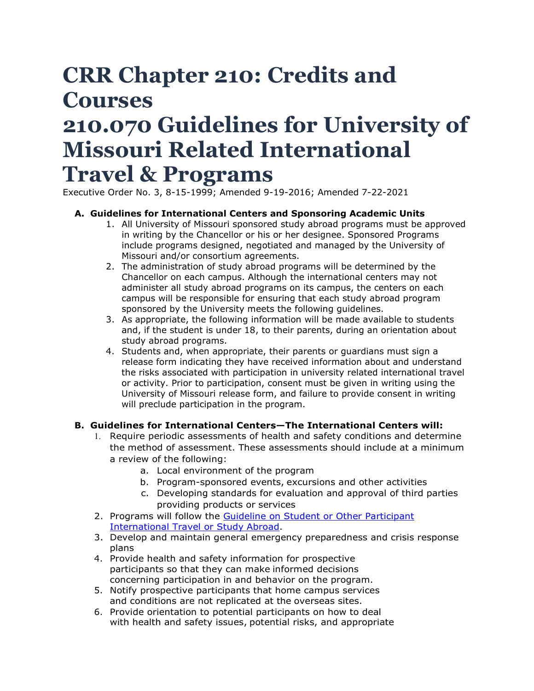# **CRR Chapter 210: Credits and Courses**

# **210.070 Guidelines for University of Missouri Related International Travel & Programs**

Executive Order No. 3, 8-15-1999; Amended 9-19-2016; Amended 7-22-2021

### **A. Guidelines for International Centers and Sponsoring Academic Units**

- 1. All University of Missouri sponsored study abroad programs must be approved in writing by the Chancellor or his or her designee. Sponsored Programs include programs designed, negotiated and managed by the University of Missouri and/or consortium agreements.
- 2. The administration of study abroad programs will be determined by the Chancellor on each campus. Although the international centers may not administer all study abroad programs on its campus, the centers on each campus will be responsible for ensuring that each study abroad program sponsored by the University meets the following guidelines.
- 3. As appropriate, the following information will be made available to students and, if the student is under 18, to their parents, during an orientation about study abroad programs.
- 4. Students and, when appropriate, their parents or guardians must sign a release form indicating they have received information about and understand the risks associated with participation in university related international travel or activity. Prior to participation, consent must be given in writing using the University of Missouri release form, and failure to provide consent in writing will preclude participation in the program.

### **B. Guidelines for International Centers—The International Centers will:**

- 1. Require periodic assessments of health and safety conditions and determine the method of assessment. These assessments should include at a minimum a review of the following:
	- a. Local environment of the program
	- b. Program-sponsored events, excursions and other activities
	- c. Developing standards for evaluation and approval of third parties providing products or services
- 2. Programs will follow the [Guideline on Student or Other Participant](https://www.umsystem.edu/ums/fa/management/risk/guidelines-studyabroad)  [International Travel or Study Abroad.](https://www.umsystem.edu/ums/fa/management/risk/guidelines-studyabroad)
- 3. Develop and maintain general emergency preparedness and crisis response plans
- 4. Provide health and safety information for prospective participants so that they can make informed decisions concerning participation in and behavior on the program.
- 5. Notify prospective participants that home campus services and conditions are not replicated at the overseas sites.
- 6. Provide orientation to potential participants on how to deal with health and safety issues, potential risks, and appropriate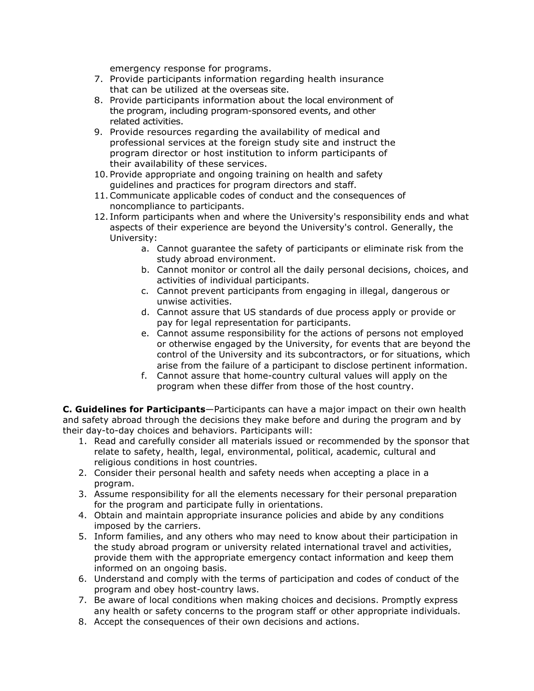emergency response for programs.

- 7. Provide participants information regarding health insurance that can be utilized at the overseas site.
- 8. Provide participants information about the local environment of the program, including program-sponsored events, and other related activities.
- 9. Provide resources regarding the availability of medical and professional services at the foreign study site and instruct the program director or host institution to inform participants of their availability of these services.
- 10. Provide appropriate and ongoing training on health and safety guidelines and practices for program directors and staff.
- 11.Communicate applicable codes of conduct and the consequences of noncompliance to participants.
- 12. Inform participants when and where the University's responsibility ends and what aspects of their experience are beyond the University's control. Generally, the University:
	- a. Cannot guarantee the safety of participants or eliminate risk from the study abroad environment.
	- b. Cannot monitor or control all the daily personal decisions, choices, and activities of individual participants.
	- c. Cannot prevent participants from engaging in illegal, dangerous or unwise activities.
	- d. Cannot assure that US standards of due process apply or provide or pay for legal representation for participants.
	- e. Cannot assume responsibility for the actions of persons not employed or otherwise engaged by the University, for events that are beyond the control of the University and its subcontractors, or for situations, which arise from the failure of a participant to disclose pertinent information.
	- f. Cannot assure that home-country cultural values will apply on the program when these differ from those of the host country.

**C. Guidelines for Participants**—Participants can have a major impact on their own health and safety abroad through the decisions they make before and during the program and by their day-to-day choices and behaviors. Participants will:

- 1. Read and carefully consider all materials issued or recommended by the sponsor that relate to safety, health, legal, environmental, political, academic, cultural and religious conditions in host countries.
- 2. Consider their personal health and safety needs when accepting a place in a program.
- 3. Assume responsibility for all the elements necessary for their personal preparation for the program and participate fully in orientations.
- 4. Obtain and maintain appropriate insurance policies and abide by any conditions imposed by the carriers.
- 5. Inform families, and any others who may need to know about their participation in the study abroad program or university related international travel and activities, provide them with the appropriate emergency contact information and keep them informed on an ongoing basis.
- 6. Understand and comply with the terms of participation and codes of conduct of the program and obey host-country laws.
- 7. Be aware of local conditions when making choices and decisions. Promptly express any health or safety concerns to the program staff or other appropriate individuals.
- 8. Accept the consequences of their own decisions and actions.